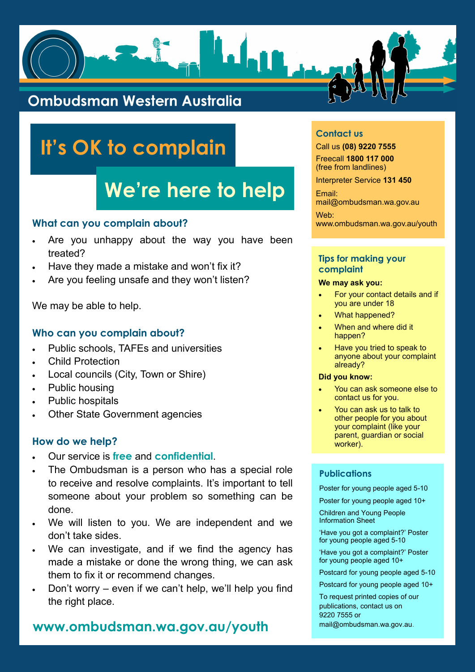## **What can you complain about?**

- Are you unhappy about the way you have been treated?
- Have they made a mistake and won't fix it?
- Are you feeling unsafe and they won't listen?

We may be able to help.

## **Who can you complain about?**

- Public schools, TAFEs and universities
- Child Protection
- Local councils (City, Town or Shire)
- Public housing
- Public hospitals
- Other State Government agencies

## **How do we help?**

- Our service is **free** and **confidential**.
- The Ombudsman is a person who has a special role to receive and resolve complaints. It's important to tell someone about your problem so something can be

#### done.

- We will listen to you. We are independent and we don't take sides.
- We can investigate, and if we find the agency has made a mistake or done the wrong thing, we can ask them to fix it or recommend changes.
- Don't worry even if we can't help, we'll help you find the right place.
- For your contact details and if you are under 18
- What happened?
- When and where did it happen?
- Have you tried to speak to anyone about your complaint already?

## **Publications**

Poster for young people aged 5-10 Poster for young people aged 10+

Children and Young People Information Sheet

'Have you got a complaint?' Poster for young people aged 5-10

'Have you got a complaint?' Poster for young people aged 10+

Postcard for young people aged 5-10

Postcard for young people aged 10+

To request printed copies of our publications, contact us on 9220 7555 or mail@ombudsman.wa.gov.au.

## **Contact us**

Call us **(08) 9220 7555** Freecall **1800 117 000**  (free from landlines)

Interpreter Service **131 450**

Email: mail@ombudsman.wa.gov.au

Web: www.ombudsman.wa.gov.au/youth

## **Tips for making your complaint**

## **We may ask you:**

## **Did you know:**

- You can ask someone else to contact us for you.
- You can ask us to talk to other people for you about your complaint (like your parent, guardian or social worker).



# **It's OK to complain**

# **We're here to help**

## **www.ombudsman.wa.gov.au/youth**